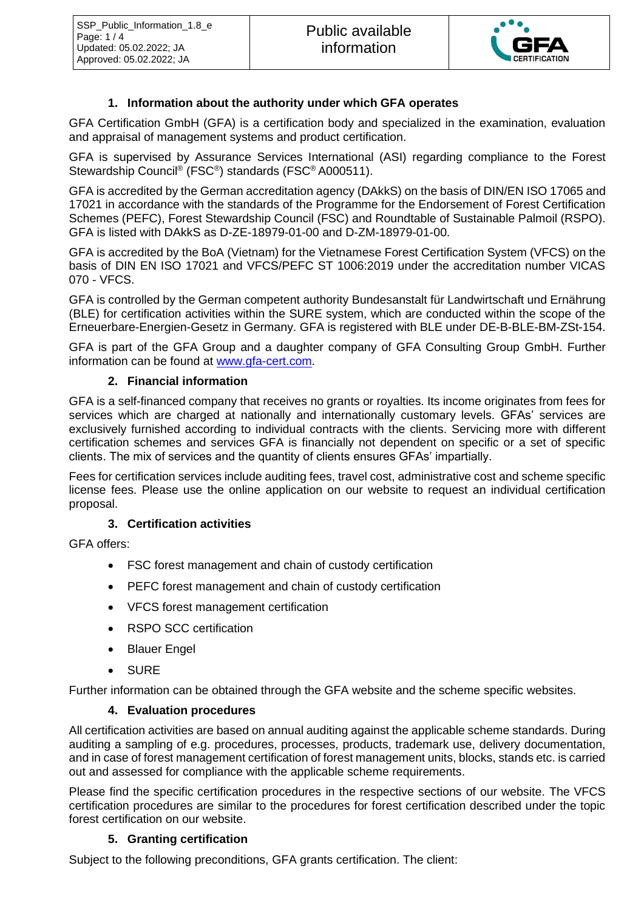

## **1. Information about the authority under which GFA operates**

GFA Certification GmbH (GFA) is a certification body and specialized in the examination, evaluation and appraisal of management systems and product certification.

GFA is supervised by Assurance Services International (ASI) regarding compliance to the Forest Stewardship Council® (FSC® ) standards (FSC® A000511).

GFA is accredited by the German accreditation agency (DAkkS) on the basis of DIN/EN ISO 17065 and 17021 in accordance with the standards of the Programme for the Endorsement of Forest Certification Schemes (PEFC), Forest Stewardship Council (FSC) and Roundtable of Sustainable Palmoil (RSPO). GFA is listed with DAkkS as D-ZE-18979-01-00 and D-ZM-18979-01-00.

GFA is accredited by the BoA (Vietnam) for the Vietnamese Forest Certification System (VFCS) on the basis of DIN EN ISO 17021 and VFCS/PEFC ST 1006:2019 under the accreditation number VICAS 070 - VFCS.

GFA is controlled by the German competent authority Bundesanstalt für Landwirtschaft und Ernährung (BLE) for certification activities within the SURE system, which are conducted within the scope of the Erneuerbare-Energien-Gesetz in Germany. GFA is registered with BLE under DE-B-BLE-BM-ZSt-154.

GFA is part of the GFA Group and a daughter company of GFA Consulting Group GmbH. Further information can be found at [www.gfa-cert.com.](http://www.gfa-cert.com/)

### **2. Financial information**

GFA is a self-financed company that receives no grants or royalties. Its income originates from fees for services which are charged at nationally and internationally customary levels. GFAs' services are exclusively furnished according to individual contracts with the clients. Servicing more with different certification schemes and services GFA is financially not dependent on specific or a set of specific clients. The mix of services and the quantity of clients ensures GFAs' impartially.

Fees for certification services include auditing fees, travel cost, administrative cost and scheme specific license fees. Please use the online application on our website to request an individual certification proposal.

# **3. Certification activities**

GFA offers:

- FSC forest management and chain of custody certification
- PEFC forest management and chain of custody certification
- VFCS forest management certification
- RSPO SCC certification
- Blauer Engel
- **SURE**

Further information can be obtained through the GFA website and the scheme specific websites.

### **4. Evaluation procedures**

All certification activities are based on annual auditing against the applicable scheme standards. During auditing a sampling of e.g. procedures, processes, products, trademark use, delivery documentation, and in case of forest management certification of forest management units, blocks, stands etc. is carried out and assessed for compliance with the applicable scheme requirements.

Please find the specific certification procedures in the respective sections of our website. The VFCS certification procedures are similar to the procedures for forest certification described under the topic forest certification on our website.

### **5. Granting certification**

Subject to the following preconditions, GFA grants certification. The client: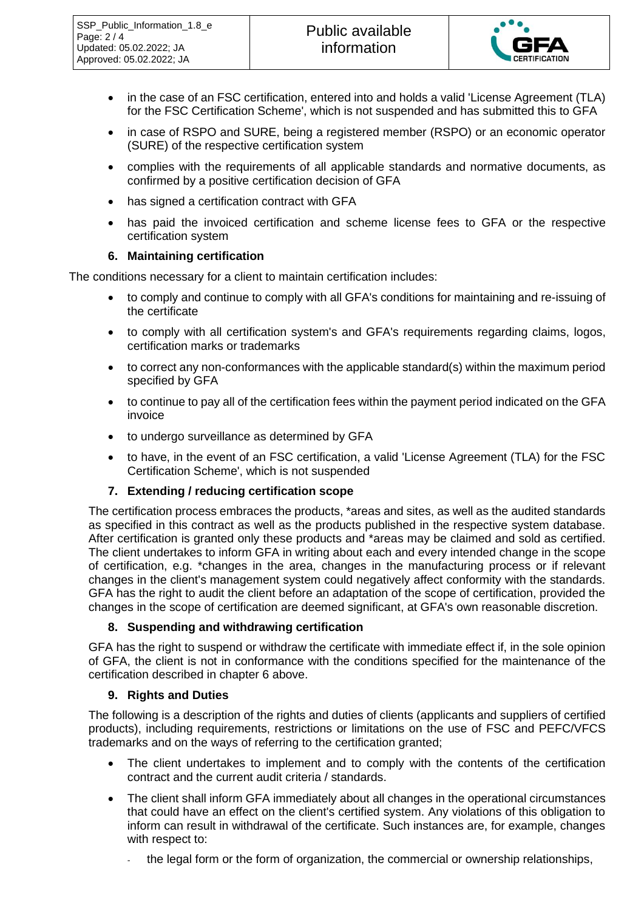

- in the case of an FSC certification, entered into and holds a valid 'License Agreement (TLA) for the FSC Certification Scheme', which is not suspended and has submitted this to GFA
- in case of RSPO and SURE, being a registered member (RSPO) or an economic operator (SURE) of the respective certification system
- complies with the requirements of all applicable standards and normative documents, as confirmed by a positive certification decision of GFA
- has signed a certification contract with GFA
- has paid the invoiced certification and scheme license fees to GFA or the respective certification system

### **6. Maintaining certification**

The conditions necessary for a client to maintain certification includes:

- to comply and continue to comply with all GFA's conditions for maintaining and re-issuing of the certificate
- to comply with all certification system's and GFA's requirements regarding claims, logos, certification marks or trademarks
- to correct any non-conformances with the applicable standard(s) within the maximum period specified by GFA
- to continue to pay all of the certification fees within the payment period indicated on the GFA invoice
- to undergo surveillance as determined by GFA
- to have, in the event of an FSC certification, a valid 'License Agreement (TLA) for the FSC Certification Scheme', which is not suspended

### **7. Extending / reducing certification scope**

The certification process embraces the products, \*areas and sites, as well as the audited standards as specified in this contract as well as the products published in the respective system database. After certification is granted only these products and \*areas may be claimed and sold as certified. The client undertakes to inform GFA in writing about each and every intended change in the scope of certification, e.g. \*changes in the area, changes in the manufacturing process or if relevant changes in the client's management system could negatively affect conformity with the standards. GFA has the right to audit the client before an adaptation of the scope of certification, provided the changes in the scope of certification are deemed significant, at GFA's own reasonable discretion.

### **8. Suspending and withdrawing certification**

GFA has the right to suspend or withdraw the certificate with immediate effect if, in the sole opinion of GFA, the client is not in conformance with the conditions specified for the maintenance of the certification described in chapter 6 above.

### **9. Rights and Duties**

The following is a description of the rights and duties of clients (applicants and suppliers of certified products), including requirements, restrictions or limitations on the use of FSC and PEFC/VFCS trademarks and on the ways of referring to the certification granted;

- The client undertakes to implement and to comply with the contents of the certification contract and the current audit criteria / standards.
- The client shall inform GFA immediately about all changes in the operational circumstances that could have an effect on the client's certified system. Any violations of this obligation to inform can result in withdrawal of the certificate. Such instances are, for example, changes with respect to:
	- the legal form or the form of organization, the commercial or ownership relationships,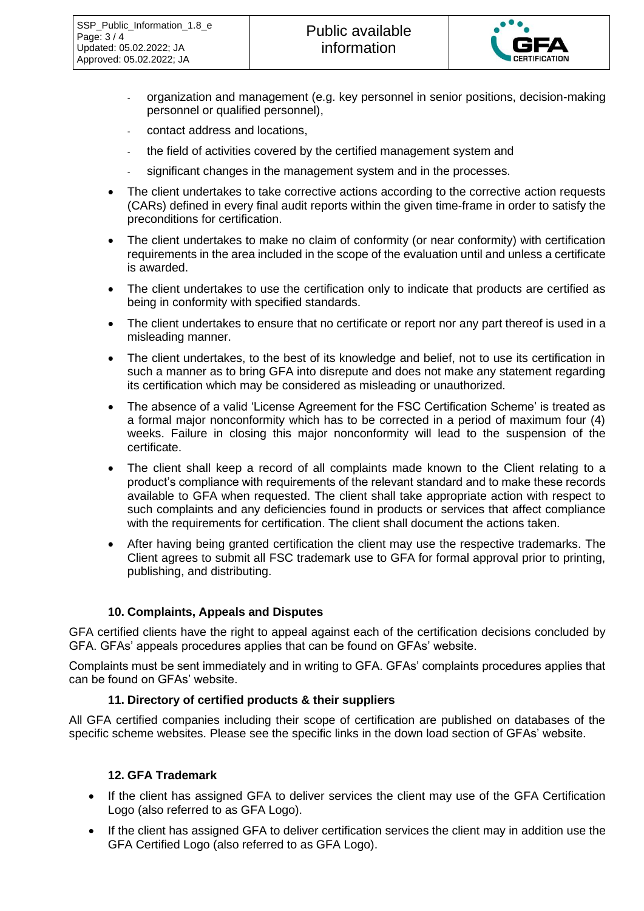

- organization and management (e.g. key personnel in senior positions, decision-making personnel or qualified personnel),
- contact address and locations,
- the field of activities covered by the certified management system and
- significant changes in the management system and in the processes.
- The client undertakes to take corrective actions according to the corrective action requests (CARs) defined in every final audit reports within the given time-frame in order to satisfy the preconditions for certification.
- The client undertakes to make no claim of conformity (or near conformity) with certification requirements in the area included in the scope of the evaluation until and unless a certificate is awarded.
- The client undertakes to use the certification only to indicate that products are certified as being in conformity with specified standards.
- The client undertakes to ensure that no certificate or report nor any part thereof is used in a misleading manner.
- The client undertakes, to the best of its knowledge and belief, not to use its certification in such a manner as to bring GFA into disrepute and does not make any statement regarding its certification which may be considered as misleading or unauthorized.
- The absence of a valid 'License Agreement for the FSC Certification Scheme' is treated as a formal major nonconformity which has to be corrected in a period of maximum four (4) weeks. Failure in closing this major nonconformity will lead to the suspension of the certificate.
- The client shall keep a record of all complaints made known to the Client relating to a product's compliance with requirements of the relevant standard and to make these records available to GFA when requested. The client shall take appropriate action with respect to such complaints and any deficiencies found in products or services that affect compliance with the requirements for certification. The client shall document the actions taken.
- After having being granted certification the client may use the respective trademarks. The Client agrees to submit all FSC trademark use to GFA for formal approval prior to printing, publishing, and distributing.

### **10. Complaints, Appeals and Disputes**

GFA certified clients have the right to appeal against each of the certification decisions concluded by GFA. GFAs' appeals procedures applies that can be found on GFAs' website.

Complaints must be sent immediately and in writing to GFA. GFAs' complaints procedures applies that can be found on GFAs' website.

#### **11. Directory of certified products & their suppliers**

All GFA certified companies including their scope of certification are published on databases of the specific scheme websites. Please see the specific links in the down load section of GFAs' website.

### **12. GFA Trademark**

- If the client has assigned GFA to deliver services the client may use of the GFA Certification Logo (also referred to as GFA Logo).
- If the client has assigned GFA to deliver certification services the client may in addition use the GFA Certified Logo (also referred to as GFA Logo).